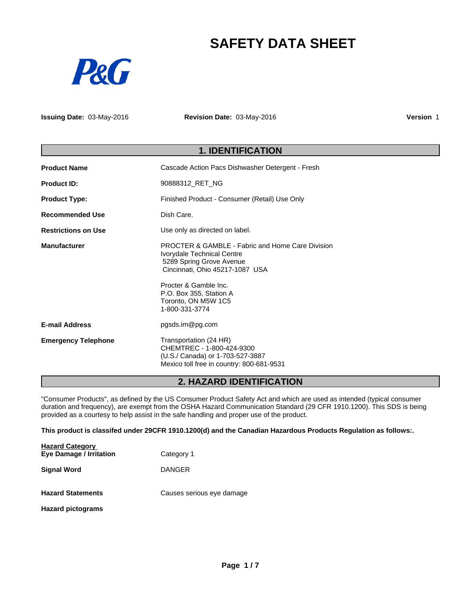# **SAFETY DATA SHEET**



**Issuing Date:** 03-May-2016 **Revision Date:** 03-May-2016 **Version** 1

# **1. IDENTIFICATION**

| <b>Product Name</b>        | Cascade Action Pacs Dishwasher Detergent - Fresh                                                                                                                                                                                                      |  |
|----------------------------|-------------------------------------------------------------------------------------------------------------------------------------------------------------------------------------------------------------------------------------------------------|--|
| <b>Product ID:</b>         | 90888312 RET NG                                                                                                                                                                                                                                       |  |
| <b>Product Type:</b>       | Finished Product - Consumer (Retail) Use Only                                                                                                                                                                                                         |  |
| <b>Recommended Use</b>     | Dish Care.                                                                                                                                                                                                                                            |  |
| <b>Restrictions on Use</b> | Use only as directed on label.                                                                                                                                                                                                                        |  |
| <b>Manufacturer</b>        | <b>PROCTER &amp; GAMBLE - Fabric and Home Care Division</b><br>Ivorydale Technical Centre<br>5289 Spring Grove Avenue<br>Cincinnati, Ohio 45217-1087 USA<br>Procter & Gamble Inc.<br>P.O. Box 355, Station A<br>Toronto, ON M5W 1C5<br>1-800-331-3774 |  |
| <b>E-mail Address</b>      | pgsds.im@pg.com                                                                                                                                                                                                                                       |  |
| <b>Emergency Telephone</b> | Transportation (24 HR)<br>CHEMTREC - 1-800-424-9300<br>(U.S./ Canada) or 1-703-527-3887<br>Mexico toll free in country: 800-681-9531                                                                                                                  |  |

# **2. HAZARD IDENTIFICATION**

"Consumer Products", as defined by the US Consumer Product Safety Act and which are used as intended (typical consumer duration and frequency), are exempt from the OSHA Hazard Communication Standard (29 CFR 1910.1200). This SDS is being provided as a courtesy to help assist in the safe handling and proper use of the product.

**This product is classifed under 29CFR 1910.1200(d) and the Canadian Hazardous Products Regulation as follows:.**

| <b>Hazard Category</b>   |                           |  |
|--------------------------|---------------------------|--|
| Eye Damage / Irritation  | Category 1                |  |
| <b>Signal Word</b>       | <b>DANGER</b>             |  |
| <b>Hazard Statements</b> | Causes serious eye damage |  |
| <b>Hazard pictograms</b> |                           |  |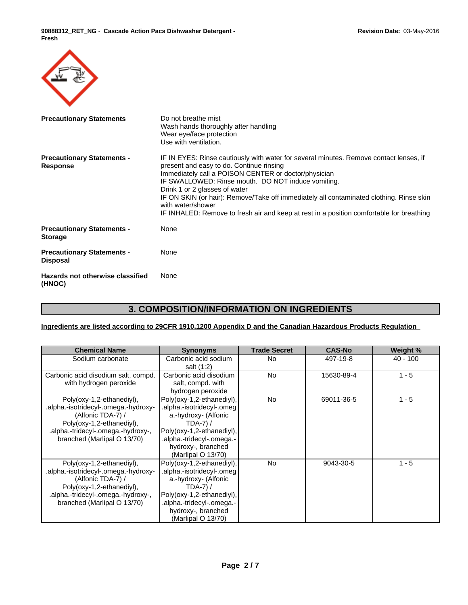**90888312\_RET\_NG** - **Cascade Action Pacs Dishwasher Detergent - Fresh**

| <b>Precautionary Statements</b>                      | Do not breathe mist<br>Wash hands thoroughly after handling<br>Wear eye/face protection<br>Use with ventilation.                                                                                                                                                                                                                                                                                                                                                                              |
|------------------------------------------------------|-----------------------------------------------------------------------------------------------------------------------------------------------------------------------------------------------------------------------------------------------------------------------------------------------------------------------------------------------------------------------------------------------------------------------------------------------------------------------------------------------|
| <b>Precautionary Statements -</b><br><b>Response</b> | IF IN EYES: Rinse cautiously with water for several minutes. Remove contact lenses, if<br>present and easy to do. Continue rinsing<br>Immediately call a POISON CENTER or doctor/physician<br>IF SWALLOWED: Rinse mouth. DO NOT induce vomiting.<br>Drink 1 or 2 glasses of water<br>IF ON SKIN (or hair): Remove/Take off immediately all contaminated clothing. Rinse skin<br>with water/shower<br>IF INHALED: Remove to fresh air and keep at rest in a position comfortable for breathing |
| <b>Precautionary Statements -</b><br><b>Storage</b>  | None                                                                                                                                                                                                                                                                                                                                                                                                                                                                                          |
| <b>Precautionary Statements -</b><br><b>Disposal</b> | None                                                                                                                                                                                                                                                                                                                                                                                                                                                                                          |
| Hazards not otherwise classified<br>(HNOC)           | None                                                                                                                                                                                                                                                                                                                                                                                                                                                                                          |

# **3. COMPOSITION/INFORMATION ON INGREDIENTS**

# **Ingredients are listed according to 29CFR 1910.1200 Appendix D and the Canadian Hazardous Products Regulation**

| <b>Chemical Name</b>                                                                                                                                                                     | <b>Synonyms</b>                                                                                                                                                                                       | <b>Trade Secret</b> | <b>CAS-No</b> | Weight %   |
|------------------------------------------------------------------------------------------------------------------------------------------------------------------------------------------|-------------------------------------------------------------------------------------------------------------------------------------------------------------------------------------------------------|---------------------|---------------|------------|
| Sodium carbonate                                                                                                                                                                         | Carbonic acid sodium<br>salt (1:2)                                                                                                                                                                    | No                  | 497-19-8      | $40 - 100$ |
| Carbonic acid disodium salt, compd.<br>with hydrogen peroxide                                                                                                                            | Carbonic acid disodium<br>salt, compd. with<br>hydrogen peroxide                                                                                                                                      | <b>No</b>           | 15630-89-4    | $1 - 5$    |
| Poly(oxy-1,2-ethanediyl),<br>-alpha.-isotridecyl-.omega.-hydroxy.<br>(Alfonic TDA-7) /<br>Poly(oxy-1,2-ethanediyl),<br>.alpha.-tridecyl-.omega.-hydroxy-,<br>branched (Marlipal O 13/70) | Poly(oxy-1,2-ethanediyl),<br>.alpha.-isotridecyl-.omeg  <br>a.-hydroxy- (Alfonic<br>$TDA-7$ ) /<br>Poly(oxy-1,2-ethanediyl),<br>-.alpha.-tridecyl-.omega.<br>hydroxy-, branched<br>(Marlipal O 13/70) | No                  | 69011-36-5    | $1 - 5$    |
| Poly(oxy-1,2-ethanediyl),<br>.alpha.-isotridecyl-.omega.-hydroxy-<br>(Alfonic TDA-7) /<br>Poly(oxy-1,2-ethanediyl),<br>.alpha.-tridecyl-.omega.-hydroxy-,<br>branched (Marlipal O 13/70) | Poly(oxy-1,2-ethanediyl),<br>.alpha.-isotridecyl-.omeg<br>a.-hydroxy- (Alfonic<br>$TDA-7$ ) /<br>Poly(oxy-1,2-ethanediyl),<br>-.alpha.-tridecyl-.omega.<br>hydroxy-, branched<br>(Marlipal O 13/70)   | <b>No</b>           | 9043-30-5     | $1 - 5$    |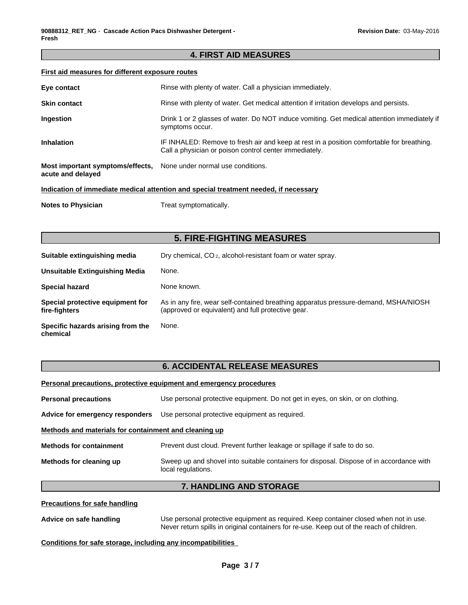# **4. FIRST AID MEASURES**

# **First aid measures for different exposure routes**

| Eye contact                                                                          | Rinse with plenty of water. Call a physician immediately.                                                                                           |  |  |
|--------------------------------------------------------------------------------------|-----------------------------------------------------------------------------------------------------------------------------------------------------|--|--|
| <b>Skin contact</b>                                                                  | Rinse with plenty of water. Get medical attention if irritation develops and persists.                                                              |  |  |
| Ingestion                                                                            | Drink 1 or 2 glasses of water. Do NOT induce vomiting. Get medical attention immediately if<br>symptoms occur.                                      |  |  |
| <b>Inhalation</b>                                                                    | IF INHALED: Remove to fresh air and keep at rest in a position comfortable for breathing.<br>Call a physician or poison control center immediately. |  |  |
| Most important symptoms/effects,<br>acute and delayed                                | None under normal use conditions.                                                                                                                   |  |  |
| Indication of immediate medical attention and special treatment needed, if necessary |                                                                                                                                                     |  |  |

**Notes to Physician** Treat symptomatically.

# **5. FIRE-FIGHTING MEASURES**

| Suitable extinguishing media                      | Dry chemical, CO <sub>2</sub> , alcohol-resistant foam or water spray.                                                                    |
|---------------------------------------------------|-------------------------------------------------------------------------------------------------------------------------------------------|
| Unsuitable Extinguishing Media                    | None.                                                                                                                                     |
| <b>Special hazard</b>                             | None known.                                                                                                                               |
| Special protective equipment for<br>fire-fighters | As in any fire, wear self-contained breathing apparatus pressure-demand, MSHA/NIOSH<br>(approved or equivalent) and full protective gear. |
| Specific hazards arising from the<br>chemical     | None.                                                                                                                                     |

# **6. ACCIDENTAL RELEASE MEASURES**

#### **Personal precautions, protective equipment and emergency procedures**

| <b>Personal precautions</b>                           | Use personal protective equipment. Do not get in eyes, on skin, or on clothing.                                |  |  |
|-------------------------------------------------------|----------------------------------------------------------------------------------------------------------------|--|--|
| Advice for emergency responders                       | Use personal protective equipment as required.                                                                 |  |  |
| Methods and materials for containment and cleaning up |                                                                                                                |  |  |
| <b>Methods for containment</b>                        | Prevent dust cloud. Prevent further leakage or spillage if safe to do so.                                      |  |  |
| Methods for cleaning up                               | Sweep up and shovel into suitable containers for disposal. Dispose of in accordance with<br>local regulations. |  |  |

# **7. HANDLING AND STORAGE**

**Precautions for safe handling**

**Advice on safe handling** Use personal protective equipment as required.Keep container closed when not in use. Never return spills in original containers for re-use. Keep out of the reach of children.

**Conditions for safe storage, including any incompatibilities**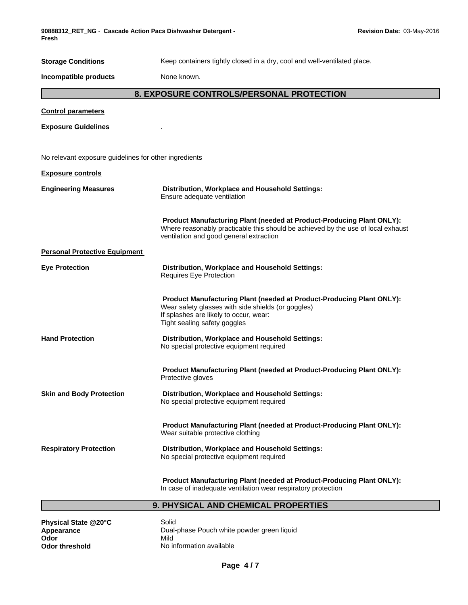**90888312\_RET\_NG** - **Cascade Action Pacs Dishwasher Detergent - Fresh**

| <b>Storage Conditions</b>                             | Keep containers tightly closed in a dry, cool and well-ventilated place.                                                                                                                              |  |  |
|-------------------------------------------------------|-------------------------------------------------------------------------------------------------------------------------------------------------------------------------------------------------------|--|--|
| Incompatible products                                 | None known.                                                                                                                                                                                           |  |  |
| 8. EXPOSURE CONTROLS/PERSONAL PROTECTION              |                                                                                                                                                                                                       |  |  |
| <b>Control parameters</b>                             |                                                                                                                                                                                                       |  |  |
| <b>Exposure Guidelines</b>                            |                                                                                                                                                                                                       |  |  |
|                                                       |                                                                                                                                                                                                       |  |  |
| No relevant exposure guidelines for other ingredients |                                                                                                                                                                                                       |  |  |
| <b>Exposure controls</b>                              |                                                                                                                                                                                                       |  |  |
| <b>Engineering Measures</b>                           | Distribution, Workplace and Household Settings:<br>Ensure adequate ventilation                                                                                                                        |  |  |
|                                                       | Product Manufacturing Plant (needed at Product-Producing Plant ONLY):<br>Where reasonably practicable this should be achieved by the use of local exhaust<br>ventilation and good general extraction  |  |  |
| <b>Personal Protective Equipment</b>                  |                                                                                                                                                                                                       |  |  |
| <b>Eye Protection</b>                                 | Distribution, Workplace and Household Settings:<br>Requires Eye Protection                                                                                                                            |  |  |
|                                                       | Product Manufacturing Plant (needed at Product-Producing Plant ONLY):<br>Wear safety glasses with side shields (or goggles)<br>If splashes are likely to occur, wear:<br>Tight sealing safety goggles |  |  |
| <b>Hand Protection</b>                                | Distribution, Workplace and Household Settings:<br>No special protective equipment required                                                                                                           |  |  |
|                                                       | Product Manufacturing Plant (needed at Product-Producing Plant ONLY):<br>Protective gloves                                                                                                            |  |  |
| <b>Skin and Body Protection</b>                       | Distribution, Workplace and Household Settings:<br>No special protective equipment required                                                                                                           |  |  |
|                                                       | Product Manufacturing Plant (needed at Product-Producing Plant ONLY):<br>Wear suitable protective clothing                                                                                            |  |  |
| <b>Respiratory Protection</b>                         | Distribution, Workplace and Household Settings:<br>No special protective equipment required                                                                                                           |  |  |
|                                                       | Product Manufacturing Plant (needed at Product-Producing Plant ONLY):<br>In case of inadequate ventilation wear respiratory protection                                                                |  |  |

**9. PHYSICAL AND CHEMICAL PROPERTIES**

**Physical State @20°C** Solid<br> **Appearance** Dual-<br> **Odor** Mild

**Appearance Example 20 Transformation** Dual-phase Pouch white powder green liquid **Odor** Mild **Odor threshold** No information available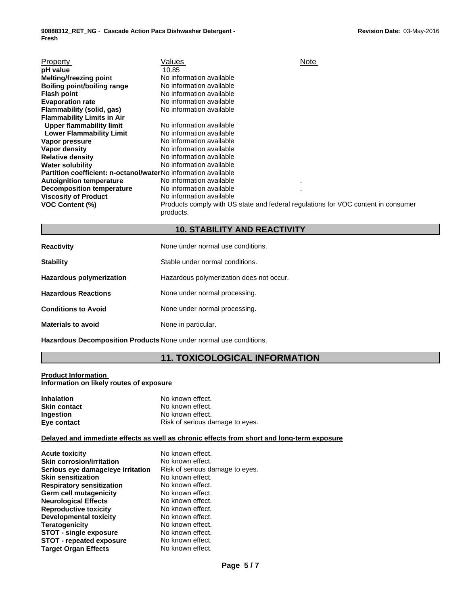| Property                                                              | Values                                                                                         | Note |  |
|-----------------------------------------------------------------------|------------------------------------------------------------------------------------------------|------|--|
| pH value                                                              | 10.85                                                                                          |      |  |
| <b>Melting/freezing point</b>                                         | No information available                                                                       |      |  |
| Boiling point/boiling range                                           | No information available                                                                       |      |  |
| <b>Flash point</b>                                                    | No information available                                                                       |      |  |
| <b>Evaporation rate</b>                                               | No information available                                                                       |      |  |
| Flammability (solid, gas)                                             | No information available                                                                       |      |  |
| <b>Flammability Limits in Air</b>                                     |                                                                                                |      |  |
| <b>Upper flammability limit</b>                                       | No information available                                                                       |      |  |
| <b>Lower Flammability Limit</b>                                       | No information available                                                                       |      |  |
| Vapor pressure                                                        | No information available                                                                       |      |  |
| Vapor density                                                         | No information available                                                                       |      |  |
| <b>Relative density</b>                                               | No information available                                                                       |      |  |
| <b>Water solubility</b>                                               | No information available                                                                       |      |  |
| <b>Partition coefficient: n-octanol/waterNo information available</b> |                                                                                                |      |  |
| <b>Autoignition temperature</b>                                       | No information available                                                                       |      |  |
| <b>Decomposition temperature</b>                                      | No information available                                                                       |      |  |
| <b>Viscosity of Product</b>                                           | No information available                                                                       |      |  |
| <b>VOC Content (%)</b>                                                | Products comply with US state and federal regulations for VOC content in consumer<br>products. |      |  |

# **10. STABILITY AND REACTIVITY**

| <b>Reactivity</b>          | None under normal use conditions.        |
|----------------------------|------------------------------------------|
| <b>Stability</b>           | Stable under normal conditions.          |
| Hazardous polymerization   | Hazardous polymerization does not occur. |
| <b>Hazardous Reactions</b> | None under normal processing.            |
| <b>Conditions to Avoid</b> | None under normal processing.            |
| <b>Materials to avoid</b>  | None in particular.                      |

**Hazardous Decomposition Products** None under normal use conditions.

# **11. TOXICOLOGICAL INFORMATION**

#### **Product Information Information on likely routes of exposure**

| <b>Inhalation</b>   | No known effect.                |
|---------------------|---------------------------------|
| <b>Skin contact</b> | No known effect.                |
| Ingestion           | No known effect.                |
| Eye contact         | Risk of serious damage to eyes. |

# **Delayed and immediate effects as well as chronic effects from short and long-term exposure**

| <b>Acute toxicity</b>             | No known effect.                |
|-----------------------------------|---------------------------------|
| <b>Skin corrosion/irritation</b>  | No known effect.                |
| Serious eye damage/eye irritation | Risk of serious damage to eyes. |
| <b>Skin sensitization</b>         | No known effect.                |
| <b>Respiratory sensitization</b>  | No known effect.                |
| Germ cell mutagenicity            | No known effect.                |
| <b>Neurological Effects</b>       | No known effect.                |
| <b>Reproductive toxicity</b>      | No known effect.                |
| <b>Developmental toxicity</b>     | No known effect.                |
| <b>Teratogenicity</b>             | No known effect.                |
| <b>STOT - single exposure</b>     | No known effect.                |
| <b>STOT - repeated exposure</b>   | No known effect.                |
| <b>Target Organ Effects</b>       | No known effect.                |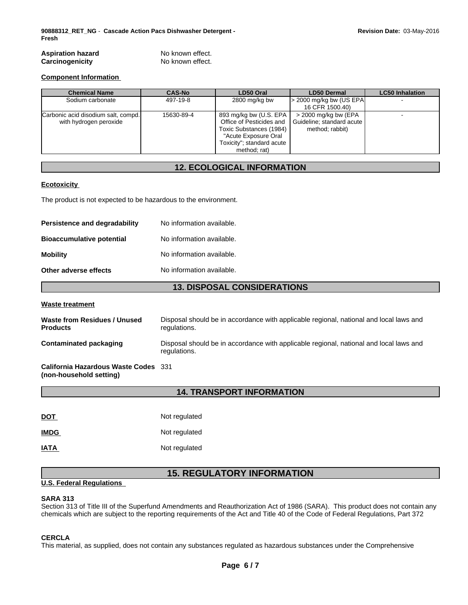| <b>Chemical Name</b>                                          | <b>CAS-No</b> | LD50 Oral                                                                                                                                          | <b>LD50 Dermal</b>                                                     | <b>LC50 Inhalation</b> |
|---------------------------------------------------------------|---------------|----------------------------------------------------------------------------------------------------------------------------------------------------|------------------------------------------------------------------------|------------------------|
| Sodium carbonate                                              | 497-19-8      | 2800 mg/kg bw                                                                                                                                      | $>$ 2000 mg/kg bw (US EPA)<br>16 CFR 1500.40)                          |                        |
| Carbonic acid disodium salt, compd.<br>with hydrogen peroxide | 15630-89-4    | 893 mg/kg bw (U.S. EPA<br>Office of Pesticides and<br>Toxic Substances (1984)<br>"Acute Exposure Oral<br>Toxicity"; standard acute<br>method; rat) | $>$ 2000 mg/kg bw (EPA<br>Guideline; standard acute<br>method; rabbit) |                        |

# **12. ECOLOGICAL INFORMATION**

#### **Ecotoxicity**

The product is not expected to be hazardous to the environment.

| Persistence and degradability    | No information available. |
|----------------------------------|---------------------------|
| <b>Bioaccumulative potential</b> | No information available. |
| <b>Mobility</b>                  | No information available. |
| Other adverse effects            | No information available. |

# **13. DISPOSAL CONSIDERATIONS**

#### **Waste treatment**

| Waste from Residues / Unused<br><b>Products</b>                 | Disposal should be in accordance with applicable regional, national and local laws and<br>regulations. |
|-----------------------------------------------------------------|--------------------------------------------------------------------------------------------------------|
| Contaminated packaging                                          | Disposal should be in accordance with applicable regional, national and local laws and<br>regulations. |
| California Hazardous Waste Codes 331<br>(non-household setting) |                                                                                                        |

# **14. TRANSPORT INFORMATION**

| <u>DOT</u>  | Not regulated |
|-------------|---------------|
| <b>IMDG</b> | Not regulated |
| <b>IATA</b> | Not regulated |

# **15. REGULATORY INFORMATION**

# **U.S. Federal Regulations**

#### **SARA 313**

Section 313 of Title III of the Superfund Amendments and Reauthorization Act of 1986 (SARA). This product does not contain any chemicals which are subject to the reporting requirements of the Act and Title 40 of the Code of Federal Regulations, Part 372

# **CERCLA**

This material, as supplied, does not contain any substances regulated as hazardous substances under the Comprehensive